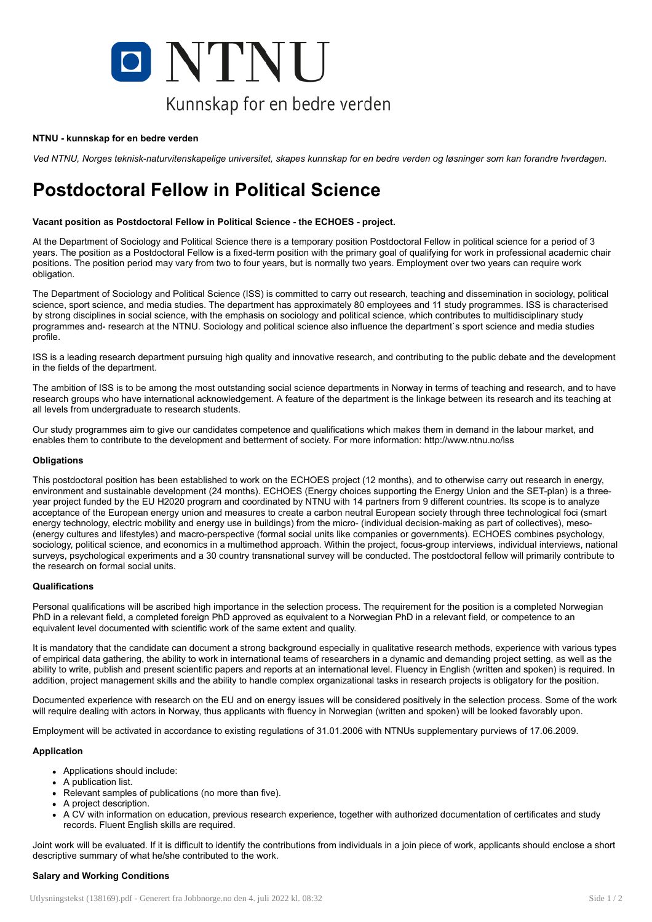

#### NTNU - kunnskap for en bedre verden

Ved NTNU, Norges teknisk-naturvitenskapelige universitet, skapes kunnskap for en bedre verden og løsninger som kan forandre hverdagen.

# Postdoctoral Fellow in Political Science

# Vacant position as Postdoctoral Fellow in Political Science - the ECHOES - project.

At the Department of Sociology and Political Science there is a temporary position Postdoctoral Fellow in political science for a period of 3 years. The position as a Postdoctoral Fellow is a fixed-term position with the primary goal of qualifying for work in professional academic chair positions. The position period may vary from two to four years, but is normally two years. Employment over two years can require work obligation.

The Department of Sociology and Political Science (ISS) is committed to carry out research, teaching and dissemination in sociology, political science, sport science, and media studies. The department has approximately 80 employees and 11 study programmes. ISS is characterised by strong disciplines in social science, with the emphasis on sociology and political science, which contributes to multidisciplinary study programmes and- research at the NTNU. Sociology and political science also influence the department`s sport science and media studies profile.

ISS is a leading research department pursuing high quality and innovative research, and contributing to the public debate and the development in the fields of the department.

The ambition of ISS is to be among the most outstanding social science departments in Norway in terms of teaching and research, and to have research groups who have international acknowledgement. A feature of the department is the linkage between its research and its teaching at all levels from undergraduate to research students.

Our study programmes aim to give our candidates competence and qualifications which makes them in demand in the labour market, and enables them to contribute to the development and betterment of society. For more information: http://www.ntnu.no/iss

### **Obligations**

This postdoctoral position has been established to work on the ECHOES project (12 months), and to otherwise carry out research in energy, environment and sustainable development (24 months). ECHOES (Energy choices supporting the Energy Union and the SET-plan) is a threeyear project funded by the EU H2020 program and coordinated by NTNU with 14 partners from 9 different countries. Its scope is to analyze acceptance of the European energy union and measures to create a carbon neutral European society through three technological foci (smart energy technology, electric mobility and energy use in buildings) from the micro- (individual decision-making as part of collectives), meso- (energy cultures and lifestyles) and macro-perspective (formal social units like companies or governments). ECHOES combines psychology, sociology, political science, and economics in a multimethod approach. Within the project, focus-group interviews, individual interviews, national surveys, psychological experiments and a 30 country transnational survey will be conducted. The postdoctoral fellow will primarily contribute to the research on formal social units.

#### **Qualifications**

Personal qualifications will be ascribed high importance in the selection process. The requirement for the position is a completed Norwegian PhD in a relevant field, a completed foreign PhD approved as equivalent to a Norwegian PhD in a relevant field, or competence to an equivalent level documented with scientific work of the same extent and quality.

It is mandatory that the candidate can document a strong background especially in qualitative research methods, experience with various types of empirical data gathering, the ability to work in international teams of researchers in a dynamic and demanding project setting, as well as the ability to write, publish and present scientific papers and reports at an international level. Fluency in English (written and spoken) is required. In addition, project management skills and the ability to handle complex organizational tasks in research projects is obligatory for the position.

Documented experience with research on the EU and on energy issues will be considered positively in the selection process. Some of the work will require dealing with actors in Norway, thus applicants with fluency in Norwegian (written and spoken) will be looked favorably upon.

Employment will be activated in accordance to existing regulations of 31.01.2006 with NTNUs supplementary purviews of 17.06.2009.

## Application

- Applications should include:
- A publication list.
- Relevant samples of publications (no more than five).
- A project description.
- A CV with information on education, previous research experience, together with authorized documentation of certificates and study records. Fluent English skills are required.

Joint work will be evaluated. If it is difficult to identify the contributions from individuals in a join piece of work, applicants should enclose a short descriptive summary of what he/she contributed to the work.

# Salary and Working Conditions